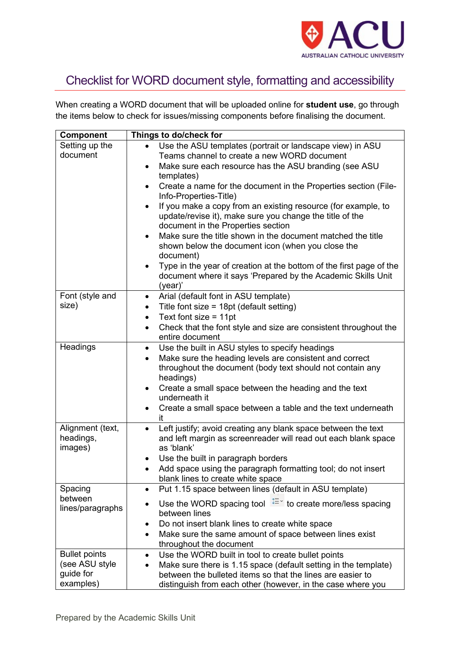

## Checklist for WORD document style, formatting and accessibility

When creating a WORD document that will be uploaded online for **student use**, go through the items below to check for issues/missing components before finalising the document.

| <b>Component</b>            | Things to do/check for                                                                                                                 |
|-----------------------------|----------------------------------------------------------------------------------------------------------------------------------------|
| Setting up the              | Use the ASU templates (portrait or landscape view) in ASU                                                                              |
| document                    | Teams channel to create a new WORD document                                                                                            |
|                             | Make sure each resource has the ASU branding (see ASU<br>$\bullet$                                                                     |
|                             | templates)                                                                                                                             |
|                             | Create a name for the document in the Properties section (File-<br>$\bullet$<br>Info-Properties-Title)                                 |
|                             | If you make a copy from an existing resource (for example, to<br>$\bullet$<br>update/revise it), make sure you change the title of the |
|                             | document in the Properties section                                                                                                     |
|                             | Make sure the title shown in the document matched the title<br>$\bullet$                                                               |
|                             | shown below the document icon (when you close the                                                                                      |
|                             | document)                                                                                                                              |
|                             | Type in the year of creation at the bottom of the first page of the                                                                    |
|                             | document where it says 'Prepared by the Academic Skills Unit                                                                           |
|                             | (year)'                                                                                                                                |
| Font (style and             | Arial (default font in ASU template)<br>$\bullet$                                                                                      |
| size)                       | Title font size = $18pt$ (default setting)<br>$\bullet$                                                                                |
|                             | Text font size = $11pt$<br>$\bullet$                                                                                                   |
|                             | Check that the font style and size are consistent throughout the<br>$\bullet$<br>entire document                                       |
| Headings                    | Use the built in ASU styles to specify headings<br>$\bullet$                                                                           |
|                             | Make sure the heading levels are consistent and correct<br>$\bullet$                                                                   |
|                             | throughout the document (body text should not contain any                                                                              |
|                             | headings)                                                                                                                              |
|                             | Create a small space between the heading and the text<br>٠                                                                             |
|                             | underneath it                                                                                                                          |
|                             | Create a small space between a table and the text underneath<br>$\bullet$<br>it                                                        |
| Alignment (text,            | Left justify; avoid creating any blank space between the text<br>$\bullet$                                                             |
| headings,                   | and left margin as screenreader will read out each blank space                                                                         |
| images)                     | as 'blank'                                                                                                                             |
|                             | Use the built in paragraph borders<br>٠                                                                                                |
|                             | Add space using the paragraph formatting tool; do not insert<br>$\bullet$                                                              |
|                             | blank lines to create white space                                                                                                      |
| Spacing                     | Put 1.15 space between lines (default in ASU template)                                                                                 |
| between<br>lines/paragraphs | Use the WORD spacing tool $\sqrt{2\pi}$ to create more/less spacing                                                                    |
|                             | between lines                                                                                                                          |
|                             | Do not insert blank lines to create white space                                                                                        |
|                             | Make sure the same amount of space between lines exist<br>$\bullet$                                                                    |
|                             | throughout the document                                                                                                                |
| <b>Bullet points</b>        | Use the WORD built in tool to create bullet points<br>$\bullet$                                                                        |
| (see ASU style              | Make sure there is 1.15 space (default setting in the template)                                                                        |
| guide for                   | between the bulleted items so that the lines are easier to                                                                             |
| examples)                   | distinguish from each other (however, in the case where you                                                                            |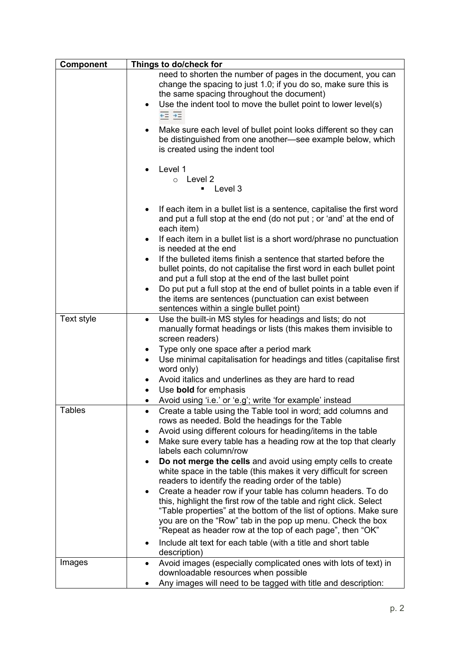| Component     | Things to do/check for                                                                                                                                                                                                                                                                                                                          |
|---------------|-------------------------------------------------------------------------------------------------------------------------------------------------------------------------------------------------------------------------------------------------------------------------------------------------------------------------------------------------|
|               | need to shorten the number of pages in the document, you can<br>change the spacing to just 1.0; if you do so, make sure this is<br>the same spacing throughout the document)<br>Use the indent tool to move the bullet point to lower level(s)<br>$\bullet$<br>$+2 +$                                                                           |
|               | Make sure each level of bullet point looks different so they can<br>$\bullet$<br>be distinguished from one another-see example below, which<br>is created using the indent tool                                                                                                                                                                 |
|               | Level 1<br>$\circ$ Level 2<br>Level 3<br>٠                                                                                                                                                                                                                                                                                                      |
|               | If each item in a bullet list is a sentence, capitalise the first word<br>$\bullet$<br>and put a full stop at the end (do not put; or 'and' at the end of<br>each item)                                                                                                                                                                         |
|               | If each item in a bullet list is a short word/phrase no punctuation<br>$\bullet$<br>is needed at the end<br>If the bulleted items finish a sentence that started before the<br>$\bullet$                                                                                                                                                        |
|               | bullet points, do not capitalise the first word in each bullet point<br>and put a full stop at the end of the last bullet point                                                                                                                                                                                                                 |
|               | Do put put a full stop at the end of bullet points in a table even if<br>$\bullet$<br>the items are sentences (punctuation can exist between<br>sentences within a single bullet point)                                                                                                                                                         |
| Text style    | Use the built-in MS styles for headings and lists; do not<br>$\bullet$<br>manually format headings or lists (this makes them invisible to<br>screen readers)                                                                                                                                                                                    |
|               | Type only one space after a period mark<br>٠<br>Use minimal capitalisation for headings and titles (capitalise first<br>$\bullet$<br>word only)                                                                                                                                                                                                 |
|               | Avoid italics and underlines as they are hard to read<br>$\bullet$<br>Use bold for emphasis                                                                                                                                                                                                                                                     |
|               | Avoid using 'i.e.' or 'e.g'; write 'for example' instead                                                                                                                                                                                                                                                                                        |
| <b>Tables</b> | Create a table using the Table tool in word; add columns and<br>٠<br>rows as needed. Bold the headings for the Table                                                                                                                                                                                                                            |
|               | Avoid using different colours for heading/items in the table<br>$\bullet$<br>Make sure every table has a heading row at the top that clearly<br>$\bullet$<br>labels each column/row                                                                                                                                                             |
|               | Do not merge the cells and avoid using empty cells to create<br>$\bullet$<br>white space in the table (this makes it very difficult for screen<br>readers to identify the reading order of the table)                                                                                                                                           |
|               | Create a header row if your table has column headers. To do<br>$\bullet$<br>this, highlight the first row of the table and right click. Select<br>"Table properties" at the bottom of the list of options. Make sure<br>you are on the "Row" tab in the pop up menu. Check the box<br>"Repeat as header row at the top of each page", then "OK" |
|               | Include alt text for each table (with a title and short table<br>$\bullet$<br>description)                                                                                                                                                                                                                                                      |
| Images        | Avoid images (especially complicated ones with lots of text) in<br>$\bullet$<br>downloadable resources when possible<br>Any images will need to be tagged with title and description:                                                                                                                                                           |